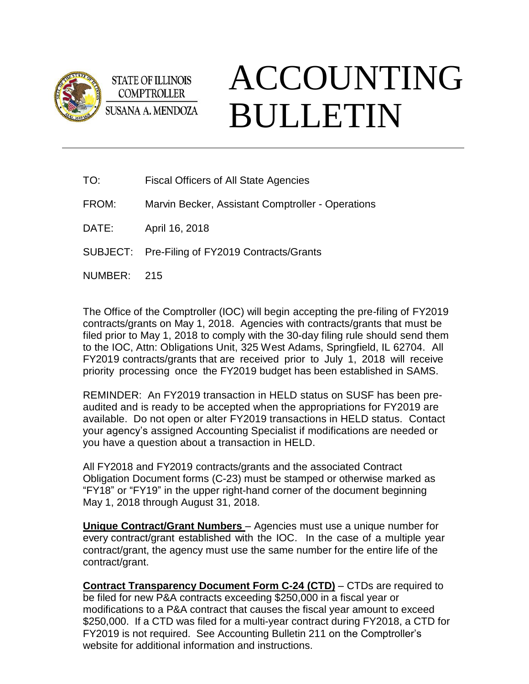

**STATE OF ILLINOIS COMPTROLLER SUSANA A. MENDOZA** 

## ACCOUNTING BULLETIN

TO: Fiscal Officers of All State Agencies

FROM: Marvin Becker, Assistant Comptroller - Operations

DATE: April 16, 2018

SUBJECT: Pre-Filing of FY2019 Contracts/Grants

NUMBER: 215

The Office of the Comptroller (IOC) will begin accepting the pre-filing of FY2019 contracts/grants on May 1, 2018. Agencies with contracts/grants that must be filed prior to May 1, 2018 to comply with the 30-day filing rule should send them to the IOC, Attn: Obligations Unit, 325 West Adams, Springfield, IL 62704. All FY2019 contracts/grants that are received prior to July 1, 2018 will receive priority processing once the FY2019 budget has been established in SAMS.

REMINDER: An FY2019 transaction in HELD status on SUSF has been preaudited and is ready to be accepted when the appropriations for FY2019 are available. Do not open or alter FY2019 transactions in HELD status. Contact your agency's assigned Accounting Specialist if modifications are needed or you have a question about a transaction in HELD.

All FY2018 and FY2019 contracts/grants and the associated Contract Obligation Document forms (C-23) must be stamped or otherwise marked as "FY18" or "FY19" in the upper right-hand corner of the document beginning May 1, 2018 through August 31, 2018.

**Unique Contract/Grant Numbers** – Agencies must use a unique number for every contract/grant established with the IOC. In the case of a multiple year contract/grant, the agency must use the same number for the entire life of the contract/grant.

**Contract Transparency Document Form C-24 (CTD)** – CTDs are required to be filed for new P&A contracts exceeding \$250,000 in a fiscal year or modifications to a P&A contract that causes the fiscal year amount to exceed \$250,000. If a CTD was filed for a multi-year contract during FY2018, a CTD for FY2019 is not required. See Accounting Bulletin 211 on the Comptroller's website for additional information and instructions.